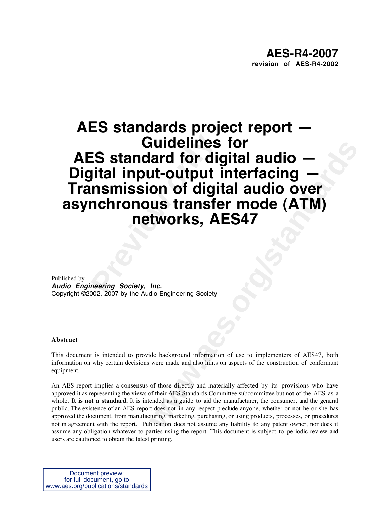# **Probabilist Section Care and Section Section**<br> **Preving Society, Inc.**<br> **Preving Society, Inc.**<br> **Preering Society, Inc.**<br> **Preering Society, Inc. Example 18 Tor<br>
and for digital audio —<br>
<b>ut-output interfacing —**<br> **on of digital audio over**<br> **ws transfer mode (ATM)**<br> **tworks, AES47**<br>
<br>
<br> *mc.*<br>
<br>
the AbsSyandards Committee automatic of the construction of conforman **AES standards project report — Guidelines for AES standard for digital audio — Digital input-output interfacing — Transmission of digital audio over asynchronous transfer mode (ATM) networks, AES47**

Published by **Audio Engineering Society, Inc.** Copyright ©2002, 2007 by the Audio Engineering Society

#### **Abstract**

This document is intended to provide background information of use to implementers of AES47, both information on why certain decisions were made and also hints on aspects of the construction of conformant equipment.

An AES report implies a consensus of those directly and materially affected by its provisions who have approved it as representing the views of their AES Standards Committee subcommittee but not of the AES as a whole. It is not a standard. It is intended as a guide to aid the manufacturer, the consumer, and the general public. The existence of an AES report does not in any respect preclude anyone, whether or not he or she has approved the document, from manufacturing, marketing, purchasing, or using products, processes, or procedures not in agreement with the report. Publication does not assume any liability to any patent owner, nor does it assume any obligation whatever to parties using the report. This document is subject to periodic review and users are cautioned to obtain the latest printing.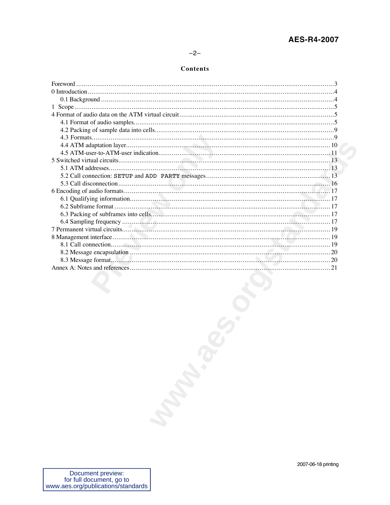# $-2-$

#### Contents

| 2007-06-18 printing |
|---------------------|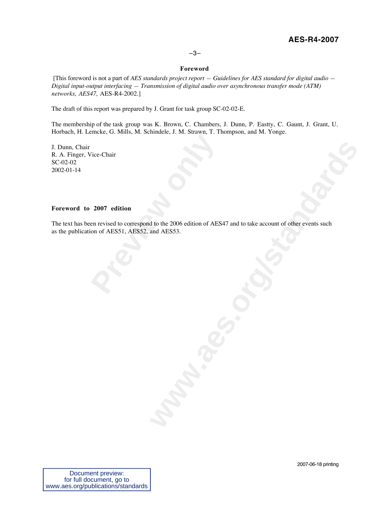## –3–

#### **Foreword**

 [This foreword is not a part of *AES standards project report — Guidelines for AES standard for digital audio — Digital input-output interfacing — Transmission of digital audio over asynchronous transfer mode (ATM) networks, AES47,* AES-R4-2002.]

The draft of this report was prepared by J. Grant for task group SC-02-02-E.

The membership of the task group was K. Brown, C. Chambers, J. Dunn, P. Eastty, C. Gaunt, J. Grant, U. Horbach, H. Lemcke, G. Mills, M. Schindele, J. M. Strawn, T. Thompson, and M. Yonge.

J. Dunn, Chair R. A. Finger, Vice-Chair SC-02-02 2002-01-14

### **Foreword to 2007 edition**

Previously and the settlem of AES<br> **Previously and AESS1, AESS2, and AESS3.**<br> **Previously and AESS1, AESS2, and AESS3.** The text has been revised to correspond to the 2006 edition of AES47 and to take account of other events such as the publication of AES51, AES52, and AES53.